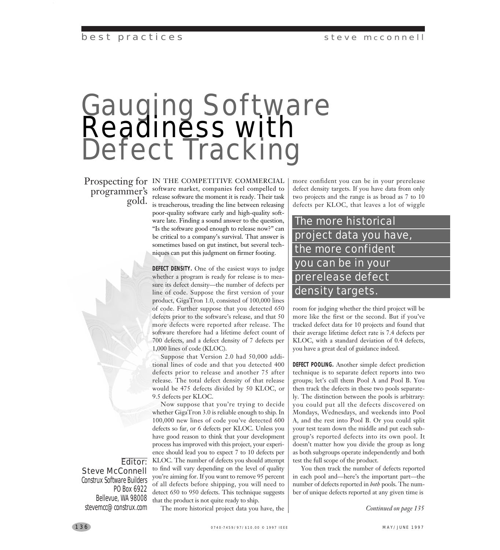### steve mcconnell

## best practices

# Gauging Software Readiness with Defect Tracking

Prospecting for IN THE COMPETITIVE COMMERCIAL programmer's software market, companies feel compelled to<br>gold. is treacherous, treading the line between releasing release software the moment it is ready. Their task is treacherous, treading the line between releasing poor-quality software early and high-quality software late. Finding a sound answer to the question, "Is the software good enough to release now?" can be critical to a company's survival. That answer is sometimes based on gut instinct, but several techniques can put this judgment on firmer footing.

> **DEFECT DENSITY.** One of the easiest ways to judge whether a program is ready for release is to measure its defect density—the number of defects per line of code. Suppose the first version of your product, GigaTron 1.0, consisted of 100,000 lines of code. Further suppose that you detected 650 defects prior to the software's release, and that 50 more defects were reported after release. The software therefore had a lifetime defect count of 700 defects, and a defect density of 7 defects per 1,000 lines of code (KLOC).

> Suppose that Version 2.0 had 50,000 additional lines of code and that you detected 400 defects prior to release and another 75 after release. The total defect density of that release would be 475 defects divided by 50 KLOC, or 9.5 defects per KLOC.

Now suppose that you're trying to decide whether GigaTron 3.0 is reliable enough to ship. In 100,000 new lines of code you've detected 600 defects so far, or 6 defects per KLOC. Unless you have good reason to think that your development process has improved with this project, your experience should lead you to expect 7 to 10 defects per KLOC. The number of defects you should attempt to find will vary depending on the level of quality you're aiming for. If you want to remove 95 percent of all defects before shipping, you will need to detect 650 to 950 defects. This technique suggests that the product is not quite ready to ship.

The more historical project data you have, the

more confident you can be in your prerelease defect density targets. If you have data from only two projects and the range is as broad as 7 to 10 defects per KLOC, that leaves a lot of wiggle

## The more historical project data you have, the more confident you can be in your prerelease defect density targets.

room for judging whether the third project will be more like the first or the second. But if you've tracked defect data for 10 projects and found that their average lifetime defect rate is 7.4 defects per KLOC, with a standard deviation of 0.4 defects, you have a great deal of guidance indeed.

**DEFECT POOLING.** Another simple defect prediction technique is to separate defect reports into two groups; let's call them Pool A and Pool B. You then track the defects in these two pools separately. The distinction between the pools is arbitrary: you could put all the defects discovered on Mondays, Wednesdays, and weekends into Pool A, and the rest into Pool B. Or you could split your test team down the middle and put each subgroup's reported defects into its own pool. It doesn't matter how you divide the group as long as both subgroups operate independently and both test the full scope of the product.

You then track the number of defects reported in each pool and—here's the important part—the number of defects reported in *both* pools. The number of unique defects reported at any given time is

*Continued on page 135*

Editor: Steve McConnell Construx Software Builders PO Box 6922 Bellevue, WA 98008 stevemcc@construx.com